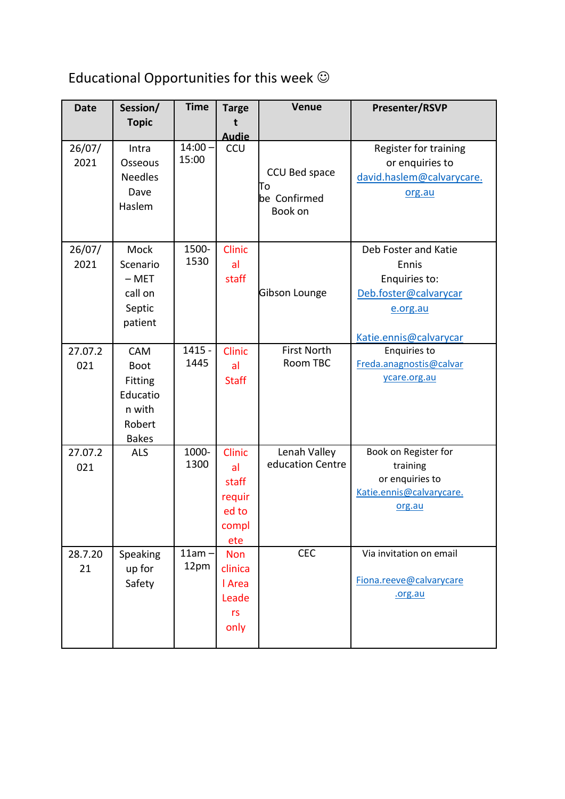## Educational Opportunities for this week  $\odot$

| <b>Date</b> | Session/               | <b>Time</b>         | <b>Targe</b>        | <b>Venue</b>       | <b>Presenter/RSVP</b>                          |
|-------------|------------------------|---------------------|---------------------|--------------------|------------------------------------------------|
|             | <b>Topic</b>           |                     | t                   |                    |                                                |
| 26/07/      | Intra                  | $14:00 -$           | <b>Audie</b><br>CCU |                    | Register for training                          |
| 2021        | Osseous                | 15:00               |                     |                    | or enquiries to                                |
|             | <b>Needles</b>         |                     |                     | CCU Bed space      | david.haslem@calvarycare.                      |
|             | Dave                   |                     |                     | Πo                 | org.au                                         |
|             | Haslem                 |                     |                     | be Confirmed       |                                                |
|             |                        |                     |                     | Book on            |                                                |
|             |                        |                     |                     |                    |                                                |
| 26/07/      | <b>Mock</b>            | 1500-               | <b>Clinic</b>       |                    | Deb Foster and Katie                           |
| 2021        | Scenario               | 1530                | al                  |                    | Ennis                                          |
|             | $-$ MET                |                     | staff               |                    | Enquiries to:                                  |
|             | call on                |                     |                     | Gibson Lounge      | Deb.foster@calvarycar                          |
|             | Septic                 |                     |                     |                    | e.org.au                                       |
|             | patient                |                     |                     |                    |                                                |
|             |                        | $\overline{1415}$ - |                     | <b>First North</b> | Katie.ennis@calvarycar                         |
| 27.07.2     | CAM                    | 1445                | Clinic              | Room TBC           | <b>Enquiries to</b><br>Freda.anagnostis@calvar |
| 021         | <b>Boot</b>            |                     | al                  |                    | ycare.org.au                                   |
|             | <b>Fitting</b>         |                     | <b>Staff</b>        |                    |                                                |
|             | Educatio               |                     |                     |                    |                                                |
|             | n with                 |                     |                     |                    |                                                |
|             | Robert<br><b>Bakes</b> |                     |                     |                    |                                                |
| 27.07.2     | <b>ALS</b>             | 1000-               | <b>Clinic</b>       | Lenah Valley       | Book on Register for                           |
| 021         |                        | 1300                | al                  | education Centre   | training                                       |
|             |                        |                     | staff               |                    | or enquiries to                                |
|             |                        |                     | requir              |                    | Katie.ennis@calvarycare.                       |
|             |                        |                     | ed to               |                    | org.au                                         |
|             |                        |                     | compl               |                    |                                                |
|             |                        |                     | ete                 |                    |                                                |
| 28.7.20     | Speaking               | $11am -$            | <b>Non</b>          | <b>CEC</b>         | Via invitation on email                        |
| 21          | up for                 | 12pm                | clinica             |                    |                                                |
|             | Safety                 |                     | I Area              |                    | Fiona.reeve@calvarycare                        |
|             |                        |                     | Leade               |                    | .org.au                                        |
|             |                        |                     | rs                  |                    |                                                |
|             |                        |                     | only                |                    |                                                |
|             |                        |                     |                     |                    |                                                |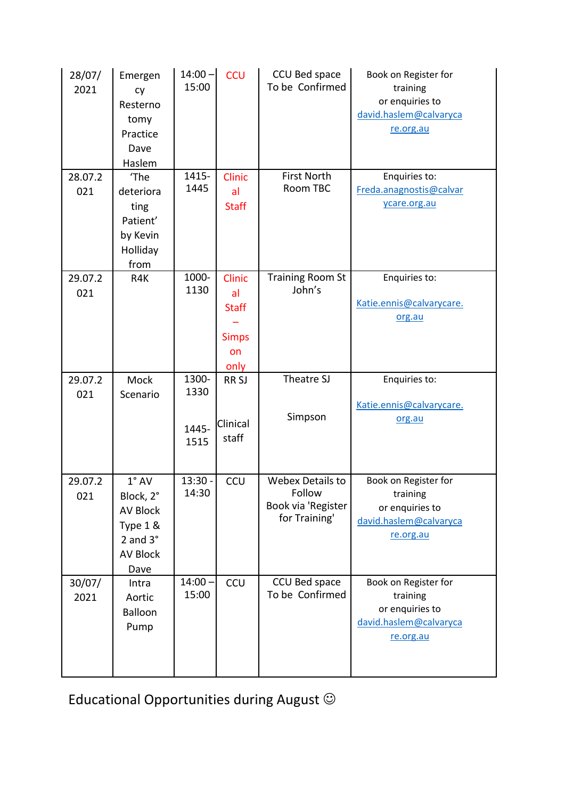| 28/07/<br>2021 | Emergen<br>cy<br>Resterno<br>tomy<br>Practice<br>Dave<br>Haslem                                        | $14:00 -$<br>15:00             | <b>CCU</b>                                                 | CCU Bed space<br>To be Confirmed                                  | Book on Register for<br>training<br>or enquiries to<br>david.haslem@calvaryca<br>re.org.au |
|----------------|--------------------------------------------------------------------------------------------------------|--------------------------------|------------------------------------------------------------|-------------------------------------------------------------------|--------------------------------------------------------------------------------------------|
| 28.07.2<br>021 | 'The<br>deteriora<br>ting<br>Patient'<br>by Kevin<br>Holliday<br>from                                  | 1415-<br>1445                  | <b>Clinic</b><br>al<br><b>Staff</b>                        | <b>First North</b><br>Room TBC                                    | Enquiries to:<br>Freda.anagnostis@calvar<br>ycare.org.au                                   |
| 29.07.2<br>021 | R4K                                                                                                    | 1000-<br>1130                  | Clinic<br>al<br><b>Staff</b><br><b>Simps</b><br>on<br>only | <b>Training Room St</b><br>John's                                 | Enquiries to:<br>Katie.ennis@calvarycare.<br>org.au                                        |
| 29.07.2        | Mock                                                                                                   |                                |                                                            |                                                                   |                                                                                            |
| 021            | Scenario                                                                                               | 1300-<br>1330<br>1445-<br>1515 | RR <sub>SJ</sub><br>Clinical<br>staff                      | Theatre SJ<br>Simpson                                             | Enquiries to:<br>Katie.ennis@calvarycare.<br>org.au                                        |
| 29.07.2<br>021 | $1^\circ$ AV<br>Block, 2°<br><b>AV Block</b><br>Type 1 &<br>2 and $3^\circ$<br><b>AV Block</b><br>Dave | $13:30 -$<br>14:30             | <b>CCU</b>                                                 | Webex Details to<br>Follow<br>Book via 'Register<br>for Training' | Book on Register for<br>training<br>or enquiries to<br>david.haslem@calvaryca<br>re.org.au |

Educational Opportunities during August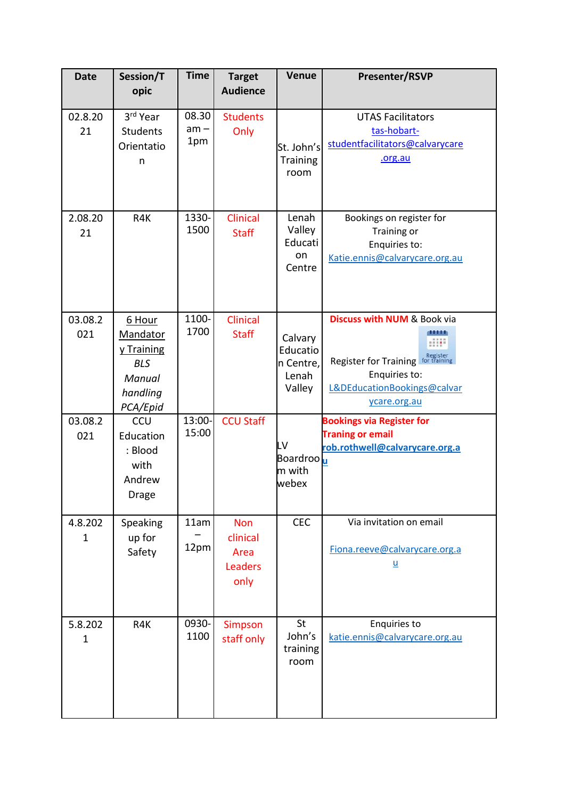| <b>Date</b>             | Session/T<br>opic                                                                | <b>Time</b>            | <b>Target</b><br><b>Audience</b>                         | <b>Venue</b>                                        | <b>Presenter/RSVP</b>                                                                                                                    |
|-------------------------|----------------------------------------------------------------------------------|------------------------|----------------------------------------------------------|-----------------------------------------------------|------------------------------------------------------------------------------------------------------------------------------------------|
| 02.8.20<br>21           | 3rd Year<br>Students<br>Orientatio<br>n                                          | 08.30<br>$am -$<br>1pm | <b>Students</b><br>Only                                  | St. John's<br><b>Training</b><br>room               | <b>UTAS Facilitators</b><br>tas-hobart-<br>studentfacilitators@calvarycare<br>.org.au                                                    |
| 2.08.20<br>21           | R4K                                                                              | 1330-<br>1500          | Clinical<br><b>Staff</b>                                 | Lenah<br>Valley<br>Educati<br>on<br>Centre          | Bookings on register for<br>Training or<br>Enquiries to:<br>Katie.ennis@calvarycare.org.au                                               |
| 03.08.2<br>021          | 6 Hour<br>Mandator<br>y Training<br><b>BLS</b><br>Manual<br>handling<br>PCA/Epid | 1100-<br>1700          | <b>Clinical</b><br><b>Staff</b>                          | Calvary<br>Educatio<br>n Centre,<br>Lenah<br>Valley | <b>Discuss with NUM &amp; Book via</b><br>,,,,,<br>Register for Training<br>Enquiries to:<br>L&DEducationBookings@calvar<br>ycare.org.au |
| 03.08.2<br>021          | CCU<br>Education<br>: Blood<br>with<br>Andrew<br>Drage                           | 13:00-<br>15:00        | <b>CCU Staff</b>                                         | LV<br>Boardroo u<br>m with<br>webex                 | <b>Bookings via Register for</b><br><b>Traning or email</b><br>rob.rothwell@calvarycare.org.a                                            |
| 4.8.202<br>$\mathbf{1}$ | Speaking<br>up for<br>Safety                                                     | 11am<br>12pm           | <b>Non</b><br>clinical<br>Area<br><b>Leaders</b><br>only | <b>CEC</b>                                          | Via invitation on email<br>Fiona.reeve@calvarycare.org.a<br>$\underline{\mathsf{u}}$                                                     |
| 5.8.202<br>$\mathbf 1$  | R4K                                                                              | 0930-<br>1100          | Simpson<br>staff only                                    | St<br>John's<br>training<br>room                    | <b>Enquiries to</b><br>katie.ennis@calvarycare.org.au                                                                                    |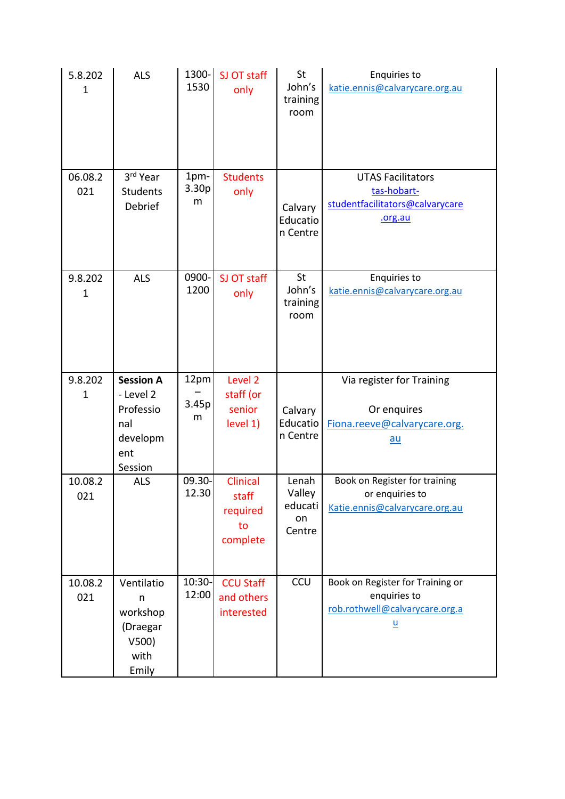| 5.8.202<br>$\mathbf 1$  | <b>ALS</b>                                                  | 1300-<br>1530      | SJ OT staff<br>only                                    | St<br>John's<br>training<br>room           | <b>Enquiries to</b><br>katie.ennis@calvarycare.org.au                                 |
|-------------------------|-------------------------------------------------------------|--------------------|--------------------------------------------------------|--------------------------------------------|---------------------------------------------------------------------------------------|
| 06.08.2<br>021          | 3rd Year<br><b>Students</b><br>Debrief                      | 1pm-<br>3.30p<br>m | <b>Students</b><br>only                                | Calvary<br>Educatio<br>n Centre            | <b>UTAS Facilitators</b><br>tas-hobart-<br>studentfacilitators@calvarycare<br>.org.au |
| 9.8.202<br>$\mathbf{1}$ | <b>ALS</b>                                                  | 0900-<br>1200      | SJ OT staff<br>only                                    | St<br>John's<br>training<br>room           | <b>Enquiries to</b><br>katie.ennis@calvarycare.org.au                                 |
| 9.8.202                 | <b>Session A</b>                                            | 12pm               | Level <sub>2</sub>                                     |                                            | Via register for Training                                                             |
| $\mathbf 1$             | - Level 2<br>Professio<br>nal<br>developm<br>ent<br>Session | 3.45p<br>m         | staff (or<br>senior<br>level 1)                        | Calvary<br>Educatio<br>n Centre            | Or enquires<br>Fiona.reeve@calvarycare.org.<br><u>au</u>                              |
| 10.08.2<br>021          | <b>ALS</b>                                                  | 09.30-<br>12.30    | <b>Clinical</b><br>staff<br>required<br>to<br>complete | Lenah<br>Valley<br>educati<br>on<br>Centre | Book on Register for training<br>or enquiries to<br>Katie.ennis@calvarycare.org.au    |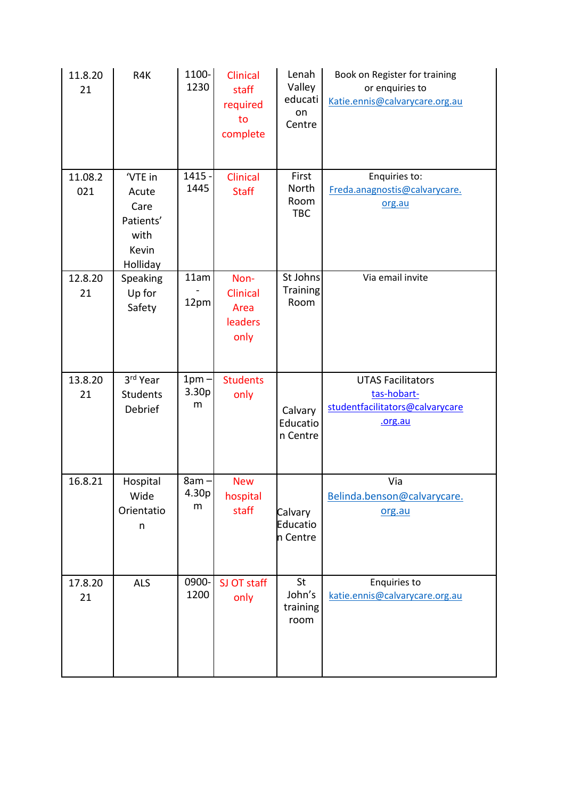| 11.8.20<br>21  | R4K                                                                       | 1100-<br>1230         | Clinical<br>staff<br>required<br>to<br>complete    | Lenah<br>Valley<br>educati<br>on<br>Centre | Book on Register for training<br>or enquiries to<br>Katie.ennis@calvarycare.org.au    |
|----------------|---------------------------------------------------------------------------|-----------------------|----------------------------------------------------|--------------------------------------------|---------------------------------------------------------------------------------------|
| 11.08.2<br>021 | 'VTE in<br>Acute<br>Care<br>Patients'<br>with<br>Kevin<br><b>Holliday</b> | $1415 -$<br>1445      | Clinical<br><b>Staff</b>                           | First<br>North<br>Room<br><b>TBC</b>       | Enquiries to:<br>Freda.anagnostis@calvarycare.<br>org.au                              |
| 12.8.20<br>21  | Speaking<br>Up for<br>Safety                                              | 11am<br>12pm          | Non-<br><b>Clinical</b><br>Area<br>leaders<br>only | St Johns<br><b>Training</b><br>Room        | Via email invite                                                                      |
| 13.8.20<br>21  | 3rd Year<br><b>Students</b><br>Debrief                                    | $1pm -$<br>3.30p<br>m | <b>Students</b><br>only                            | Calvary<br>Educatio<br>n Centre            | <b>UTAS Facilitators</b><br>tas-hobart-<br>studentfacilitators@calvarycare<br>.org.au |
| 16.8.21        | Hospital<br>Wide<br>Orientatio<br>n                                       | $8am -$<br>4.30p<br>m | <b>New</b><br>hospital<br>staff                    | Calvary<br>Educatio<br>n Centre            | Via<br>Belinda.benson@calvarycare.<br>org.au                                          |
| 17.8.20<br>21  | <b>ALS</b>                                                                | 0900-<br>1200         | SJ OT staff<br>only                                | St<br>John's<br>training<br>room           | <b>Enquiries to</b><br>katie.ennis@calvarycare.org.au                                 |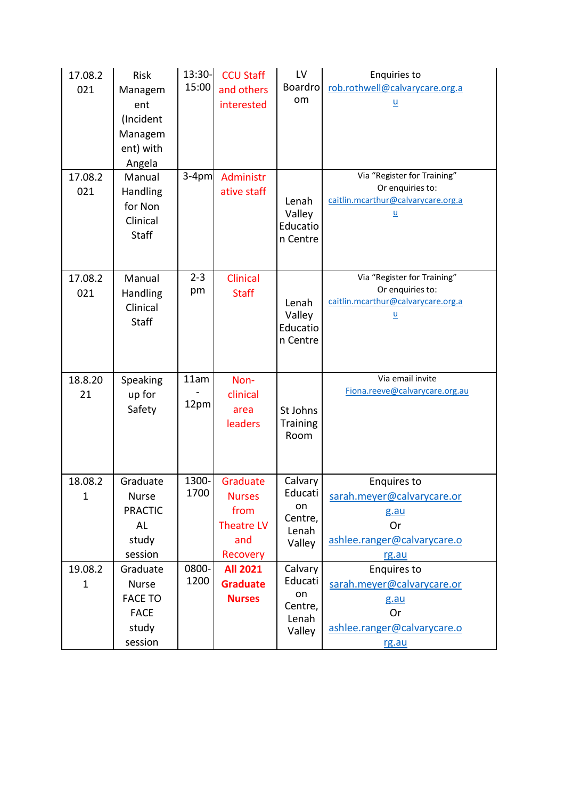| 17.08.2<br>021          | Risk<br>Managem<br>ent<br>(Incident<br>Managem<br>ent) with<br>Angela         | 13:30-<br>15:00 | <b>CCU Staff</b><br>and others<br>interested                                     | LV<br><b>Boardro</b><br>om                             | <b>Enquiries to</b><br>rob.rothwell@calvarycare.org.a<br>$\underline{\mathsf{u}}$                                 |
|-------------------------|-------------------------------------------------------------------------------|-----------------|----------------------------------------------------------------------------------|--------------------------------------------------------|-------------------------------------------------------------------------------------------------------------------|
| 17.08.2<br>021          | Manual<br>Handling<br>for Non<br>Clinical<br><b>Staff</b>                     | $3-4pm$         | Administr<br>ative staff                                                         | Lenah<br>Valley<br>Educatio<br>n Centre                | Via "Register for Training"<br>Or enquiries to:<br>caitlin.mcarthur@calvarycare.org.a<br>$\underline{\mathsf{u}}$ |
| 17.08.2<br>021          | Manual<br>Handling<br>Clinical<br><b>Staff</b>                                | $2 - 3$<br>pm   | Clinical<br><b>Staff</b>                                                         | Lenah<br>Valley<br>Educatio<br>n Centre                | Via "Register for Training"<br>Or enquiries to:<br>caitlin.mcarthur@calvarycare.org.a<br>$\underline{\mathsf{u}}$ |
| 18.8.20<br>21           | Speaking<br>up for<br>Safety                                                  | 11am<br>12pm    | Non-<br>clinical<br>area<br>leaders                                              | St Johns<br>Training<br>Room                           | Via email invite<br>Fiona.reeve@calvarycare.org.au                                                                |
| 18.08.2<br>1            | Graduate<br>Nurse<br><b>PRACTIC</b><br>AL<br>study<br>session                 | 1300-<br>1700   | Graduate<br><b>Nurses</b><br>from<br><b>Theatre LV</b><br>and<br><b>Recovery</b> | Calvary<br>Educati<br>on<br>Centre,<br>Lenah<br>Valley | <b>Enquires to</b><br>sarah.meyer@calvarycare.or<br>g.au<br>Or<br>ashlee.ranger@calvarycare.o<br>rg.au            |
| 19.08.2<br>$\mathbf{1}$ | Graduate<br><b>Nurse</b><br><b>FACE TO</b><br><b>FACE</b><br>study<br>session | 0800-<br>1200   | <b>All 2021</b><br><b>Graduate</b><br><b>Nurses</b>                              | Calvary<br>Educati<br>on<br>Centre,<br>Lenah<br>Valley | <b>Enquires to</b><br>sarah.meyer@calvarycare.or<br>g.au<br><b>Or</b><br>ashlee.ranger@calvarycare.o<br>rg.au     |